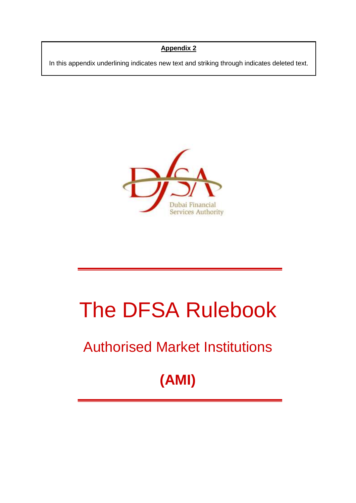# **Appendix 2**

In this appendix underlining indicates new text and striking through indicates deleted text.



# The DFSA Rulebook

# Authorised Market Institutions

**(AMI)**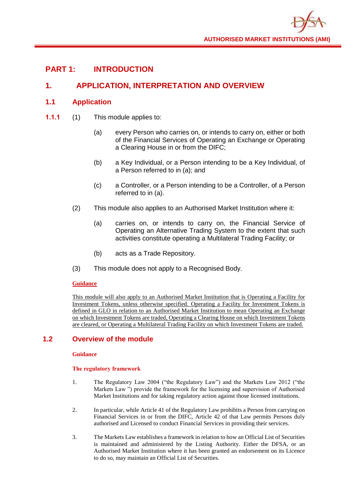# **PART 1: INTRODUCTION**

# **1. APPLICATION, INTERPRETATION AND OVERVIEW**

# **1.1 Application**

- **1.1.1** (1) This module applies to:
	- (a) every Person who carries on, or intends to carry on, either or both of the Financial Services of Operating an Exchange or Operating a Clearing House in or from the DIFC;
	- (b) a Key Individual, or a Person intending to be a Key Individual, of a Person referred to in (a); and
	- (c) a Controller, or a Person intending to be a Controller, of a Person referred to in (a).
	- (2) This module also applies to an Authorised Market Institution where it:
		- (a) carries on, or intends to carry on, the Financial Service of Operating an Alternative Trading System to the extent that such activities constitute operating a Multilateral Trading Facility; or
		- (b) acts as a Trade Repository.
	- (3) This module does not apply to a Recognised Body.

#### **Guidance**

This module will also apply to an Authorised Market Institution that is Operating a Facility for Investment Tokens, unless otherwise specified. Operating a Facility for Investment Tokens is defined in GLO in relation to an Authorised Market Institution to mean Operating an Exchange on which Investment Tokens are traded, Operating a Clearing House on which Investment Tokens are cleared, or Operating a Multilateral Trading Facility on which Investment Tokens are traded.

#### **1.2 Overview of the module**

#### **Guidance**

#### **The regulatory framework**

- 1. The Regulatory Law 2004 ("the Regulatory Law") and the Markets Law 2012 ("the Markets Law ") provide the framework for the licensing and supervision of Authorised Market Institutions and for taking regulatory action against those licensed institutions.
- 2. In particular, while Article 41 of the Regulatory Law prohibits a Person from carrying on Financial Services in or from the DIFC, Article 42 of that Law permits Persons duly authorised and Licensed to conduct Financial Services in providing their services.
- 3. The Markets Law establishes a framework in relation to how an Official List of Securities is maintained and administered by the Listing Authority. Either the DFSA, or an Authorised Market Institution where it has been granted an endorsement on its Licence to do so, may maintain an Official List of Securities.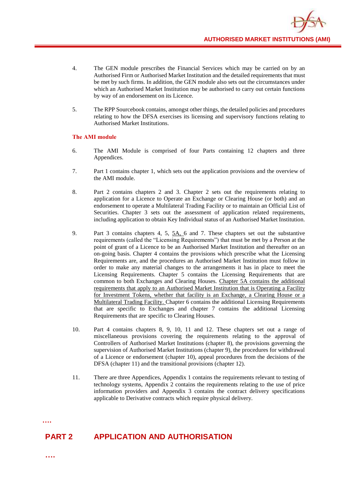- 4. The GEN module prescribes the Financial Services which may be carried on by an Authorised Firm or Authorised Market Institution and the detailed requirements that must be met by such firms. In addition, the GEN module also sets out the circumstances under which an Authorised Market Institution may be authorised to carry out certain functions by way of an endorsement on its Licence.
- 5. The RPP Sourcebook contains, amongst other things, the detailed policies and procedures relating to how the DFSA exercises its licensing and supervisory functions relating to Authorised Market Institutions.

#### **The AMI module**

- 6. The AMI Module is comprised of four Parts containing 12 chapters and three Appendices.
- 7. Part 1 contains chapter 1, which sets out the application provisions and the overview of the AMI module.
- 8. Part 2 contains chapters 2 and 3. Chapter 2 sets out the requirements relating to application for a Licence to Operate an Exchange or Clearing House (or both) and an endorsement to operate a Multilateral Trading Facility or to maintain an Official List of Securities. Chapter 3 sets out the assessment of application related requirements, including application to obtain Key Individual status of an Authorised Market Institution.
- 9. Part 3 contains chapters 4, 5, 5A, 6 and 7. These chapters set out the substantive requirements (called the "Licensing Requirements") that must be met by a Person at the point of grant of a Licence to be an Authorised Market Institution and thereafter on an on-going basis. Chapter 4 contains the provisions which prescribe what the Licensing Requirements are, and the procedures an Authorised Market Institution must follow in order to make any material changes to the arrangements it has in place to meet the Licensing Requirements. Chapter 5 contains the Licensing Requirements that are common to both Exchanges and Clearing Houses. Chapter 5A contains the additional requirements that apply to an Authorised Market Institution that is Operating a Facility for Investment Tokens, whether that facility is an Exchange, a Clearing House or a Multilateral Trading Facility. Chapter 6 contains the additional Licensing Requirements that are specific to Exchanges and chapter 7 contains the additional Licensing Requirements that are specific to Clearing Houses.
- 10. Part 4 contains chapters 8, 9, 10, 11 and 12. These chapters set out a range of miscellaneous provisions covering the requirements relating to the approval of Controllers of Authorised Market Institutions (chapter 8), the provisions governing the supervision of Authorised Market Institutions (chapter 9), the procedures for withdrawal of a Licence or endorsement (chapter 10), appeal procedures from the decisions of the DFSA (chapter 11) and the transitional provisions (chapter 12).
- 11. There are three Appendices, Appendix 1 contains the requirements relevant to testing of technology systems, Appendix 2 contains the requirements relating to the use of price information providers and Appendix 3 contains the contract delivery specifications applicable to Derivative contracts which require physical delivery.

**….**

# **PART 2 APPLICATION AND AUTHORISATION**

**….**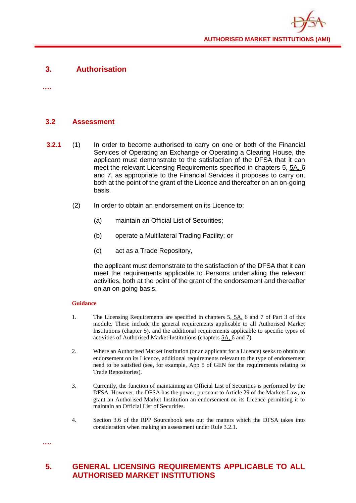

# **3. Authorisation**

**….**

# **3.2 Assessment**

- **3.2.1** (1) In order to become authorised to carry on one or both of the Financial Services of Operating an Exchange or Operating a Clearing House, the applicant must demonstrate to the satisfaction of the DFSA that it can meet the relevant Licensing Requirements specified in chapters 5, 5A, 6 and 7, as appropriate to the Financial Services it proposes to carry on, both at the point of the grant of the Licence and thereafter on an on-going basis.
	- (2) In order to obtain an endorsement on its Licence to:
		- (a) maintain an Official List of Securities;
		- (b) operate a Multilateral Trading Facility; or
		- (c) act as a Trade Repository,

the applicant must demonstrate to the satisfaction of the DFSA that it can meet the requirements applicable to Persons undertaking the relevant activities, both at the point of the grant of the endorsement and thereafter on an on-going basis.

#### **Guidance**

**….**

- 1. The Licensing Requirements are specified in chapters 5, 5A, 6 and 7 of Part 3 of this module. These include the general requirements applicable to all Authorised Market Institutions (chapter 5), and the additional requirements applicable to specific types of activities of Authorised Market Institutions (chapters 5A, 6 and 7).
- 2. Where an Authorised Market Institution (or an applicant for a Licence) seeks to obtain an endorsement on its Licence, additional requirements relevant to the type of endorsement need to be satisfied (see, for example, App 5 of GEN for the requirements relating to Trade Repositories).
- 3. Currently, the function of maintaining an Official List of Securities is performed by the DFSA. However, the DFSA has the power, pursuant to Article 29 of the Markets Law, to grant an Authorised Market Institution an endorsement on its Licence permitting it to maintain an Official List of Securities.
- 4. Section 3.6 of the RPP Sourcebook sets out the matters which the DFSA takes into consideration when making an assessment under Rule 3.2.1.
- **5. GENERAL LICENSING REQUIREMENTS APPLICABLE TO ALL AUTHORISED MARKET INSTITUTIONS**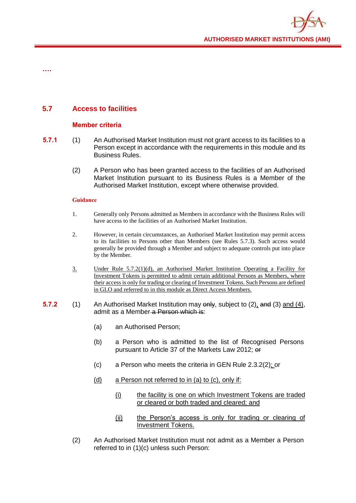

**….**

# **5.7 Access to facilities**

#### **Member criteria**

- **5.7.1** (1) An Authorised Market Institution must not grant access to its facilities to a Person except in accordance with the requirements in this module and its Business Rules.
	- (2) A Person who has been granted access to the facilities of an Authorised Market Institution pursuant to its Business Rules is a Member of the Authorised Market Institution, except where otherwise provided.

#### **Guidance**

- 1. Generally only Persons admitted as Members in accordance with the Business Rules will have access to the facilities of an Authorised Market Institution.
- 2. However, in certain circumstances, an Authorised Market Institution may permit access to its facilities to Persons other than Members (see Rules 5.7.3). Such access would generally be provided through a Member and subject to adequate controls put into place by the Member.
- 3. Under Rule 5.7.2(1)(d), an Authorised Market Institution Operating a Facility for Investment Tokens is permitted to admit certain additional Persons as Members, where their access is only for trading or clearing of Investment Tokens. Such Persons are defined in GLO and referred to in this module as Direct Access Members.
- **5.7.2** (1) An Authorised Market Institution may only, subject to (2), and (3) and (4), admit as a Member a Person which is:
	- (a) an Authorised Person;
	- (b) a Person who is admitted to the list of Recognised Persons pursuant to Article 37 of the Markets Law 2012; or
	- (c) a Person who meets the criteria in GEN Rule 2.3.2(2); or
	- (d) a Person not referred to in (a) to (c), only if:
		- (i) the facility is one on which Investment Tokens are traded or cleared or both traded and cleared; and
		- (ii) the Person's access is only for trading or clearing of Investment Tokens.
	- (2) An Authorised Market Institution must not admit as a Member a Person referred to in (1)(c) unless such Person: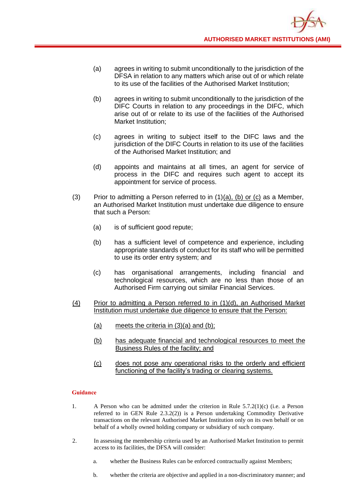- (a) agrees in writing to submit unconditionally to the jurisdiction of the DFSA in relation to any matters which arise out of or which relate to its use of the facilities of the Authorised Market Institution;
- (b) agrees in writing to submit unconditionally to the jurisdiction of the DIFC Courts in relation to any proceedings in the DIFC, which arise out of or relate to its use of the facilities of the Authorised Market Institution;
- (c) agrees in writing to subject itself to the DIFC laws and the jurisdiction of the DIFC Courts in relation to its use of the facilities of the Authorised Market Institution; and
- (d) appoints and maintains at all times, an agent for service of process in the DIFC and requires such agent to accept its appointment for service of process.
- (3) Prior to admitting a Person referred to in  $(1)(a)$ , (b) or (c) as a Member, an Authorised Market Institution must undertake due diligence to ensure that such a Person:
	- (a) is of sufficient good repute;
	- (b) has a sufficient level of competence and experience, including appropriate standards of conduct for its staff who will be permitted to use its order entry system; and
	- (c) has organisational arrangements, including financial and technological resources, which are no less than those of an Authorised Firm carrying out similar Financial Services.
- (4) Prior to admitting a Person referred to in (1)(d), an Authorised Market Institution must undertake due diligence to ensure that the Person:
	- (a) meets the criteria in  $(3)(a)$  and  $(b)$ ;
	- (b) has adequate financial and technological resources to meet the Business Rules of the facility; and
	- (c) does not pose any operational risks to the orderly and efficient functioning of the facility's trading or clearing systems.

- 1. A Person who can be admitted under the criterion in Rule  $5.7.2(1)(c)$  (i.e. a Person referred to in GEN Rule 2.3.2(2)) is a Person undertaking Commodity Derivative transactions on the relevant Authorised Market Institution only on its own behalf or on behalf of a wholly owned holding company or subsidiary of such company.
- 2. In assessing the membership criteria used by an Authorised Market Institution to permit access to its facilities, the DFSA will consider:
	- a. whether the Business Rules can be enforced contractually against Members;
	- b. whether the criteria are objective and applied in a non-discriminatory manner; and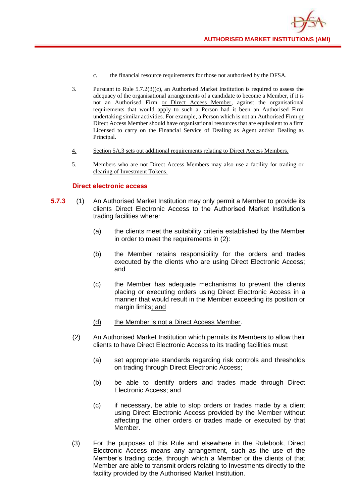- c. the financial resource requirements for those not authorised by the DFSA.
- 3. Pursuant to Rule 5.7.2(3)(c), an Authorised Market Institution is required to assess the adequacy of the organisational arrangements of a candidate to become a Member, if it is not an Authorised Firm or Direct Access Member, against the organisational requirements that would apply to such a Person had it been an Authorised Firm undertaking similar activities. For example, a Person which is not an Authorised Firm or Direct Access Member should have organisational resources that are equivalent to a firm Licensed to carry on the Financial Service of Dealing as Agent and/or Dealing as Principal.
- 4. Section 5A.3 sets out additional requirements relating to Direct Access Members.
- 5. Members who are not Direct Access Members may also use a facility for trading or clearing of Investment Tokens.

#### **Direct electronic access**

- **5.7.3** (1) An Authorised Market Institution may only permit a Member to provide its clients Direct Electronic Access to the Authorised Market Institution's trading facilities where:
	- (a) the clients meet the suitability criteria established by the Member in order to meet the requirements in (2):
	- (b) the Member retains responsibility for the orders and trades executed by the clients who are using Direct Electronic Access; and
	- (c) the Member has adequate mechanisms to prevent the clients placing or executing orders using Direct Electronic Access in a manner that would result in the Member exceeding its position or margin limits; and
	- (d) the Member is not a Direct Access Member.
	- (2) An Authorised Market Institution which permits its Members to allow their clients to have Direct Electronic Access to its trading facilities must:
		- (a) set appropriate standards regarding risk controls and thresholds on trading through Direct Electronic Access;
		- (b) be able to identify orders and trades made through Direct Electronic Access; and
		- (c) if necessary, be able to stop orders or trades made by a client using Direct Electronic Access provided by the Member without affecting the other orders or trades made or executed by that Member.
	- (3) For the purposes of this Rule and elsewhere in the Rulebook, Direct Electronic Access means any arrangement, such as the use of the Member's trading code, through which a Member or the clients of that Member are able to transmit orders relating to Investments directly to the facility provided by the Authorised Market Institution.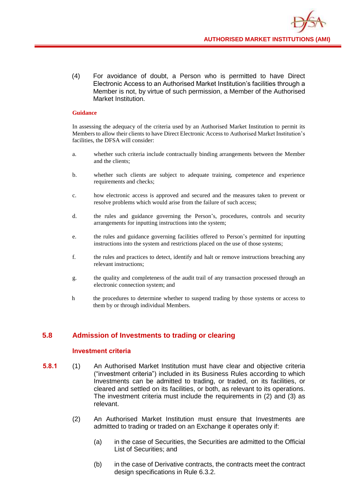(4) For avoidance of doubt, a Person who is permitted to have Direct Electronic Access to an Authorised Market Institution's facilities through a Member is not, by virtue of such permission, a Member of the Authorised Market Institution.

#### **Guidance**

In assessing the adequacy of the criteria used by an Authorised Market Institution to permit its Members to allow their clients to have Direct Electronic Access to Authorised Market Institution's facilities, the DFSA will consider:

- a. whether such criteria include contractually binding arrangements between the Member and the clients;
- b. whether such clients are subject to adequate training, competence and experience requirements and checks;
- c. how electronic access is approved and secured and the measures taken to prevent or resolve problems which would arise from the failure of such access;
- d. the rules and guidance governing the Person's, procedures, controls and security arrangements for inputting instructions into the system;
- e. the rules and guidance governing facilities offered to Person's permitted for inputting instructions into the system and restrictions placed on the use of those systems;
- f. the rules and practices to detect, identify and halt or remove instructions breaching any relevant instructions;
- g. the quality and completeness of the audit trail of any transaction processed through an electronic connection system; and
- h the procedures to determine whether to suspend trading by those systems or access to them by or through individual Members.

# **5.8 Admission of Investments to trading or clearing**

#### **Investment criteria**

- **5.8.1** (1) An Authorised Market Institution must have clear and objective criteria ("investment criteria") included in its Business Rules according to which Investments can be admitted to trading, or traded, on its facilities, or cleared and settled on its facilities, or both, as relevant to its operations. The investment criteria must include the requirements in (2) and (3) as relevant.
	- (2) An Authorised Market Institution must ensure that Investments are admitted to trading or traded on an Exchange it operates only if:
		- (a) in the case of Securities, the Securities are admitted to the Official List of Securities; and
		- (b) in the case of Derivative contracts, the contracts meet the contract design specifications in Rule 6.3.2.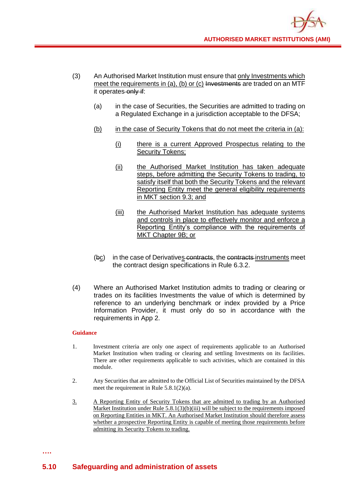- (3) An Authorised Market Institution must ensure that only Investments which meet the requirements in (a), (b) or (c) Investments are traded on an MTF it operates only if:
	- (a) in the case of Securities, the Securities are admitted to trading on a Regulated Exchange in a jurisdiction acceptable to the DFSA;
	- (b) in the case of Security Tokens that do not meet the criteria in (a):
		- (i) there is a current Approved Prospectus relating to the Security Tokens;
		- (ii) the Authorised Market Institution has taken adequate steps, before admitting the Security Tokens to trading, to satisfy itself that both the Security Tokens and the relevant Reporting Entity meet the general eligibility requirements in MKT section 9.3; and
		- (iii) the Authorised Market Institution has adequate systems and controls in place to effectively monitor and enforce a Reporting Entity's compliance with the requirements of MKT Chapter 9B; or
	- (bc) in the case of Derivatives contracts, the contracts instruments meet the contract design specifications in Rule 6.3.2.
- (4) Where an Authorised Market Institution admits to trading or clearing or trades on its facilities Investments the value of which is determined by reference to an underlying benchmark or index provided by a Price Information Provider, it must only do so in accordance with the requirements in App 2.

- 1. Investment criteria are only one aspect of requirements applicable to an Authorised Market Institution when trading or clearing and settling Investments on its facilities. There are other requirements applicable to such activities, which are contained in this module.
- 2. Any Securities that are admitted to the Official List of Securities maintained by the DFSA meet the requirement in Rule 5.8.1(2)(a).
- 3. A Reporting Entity of Security Tokens that are admitted to trading by an Authorised Market Institution under Rule 5.8.1(3)(b)(iii) will be subject to the requirements imposed on Reporting Entities in MKT. An Authorised Market Institution should therefore assess whether a prospective Reporting Entity is capable of meeting those requirements before admitting its Security Tokens to trading.

**….**

# **5.10 Safeguarding and administration of assets**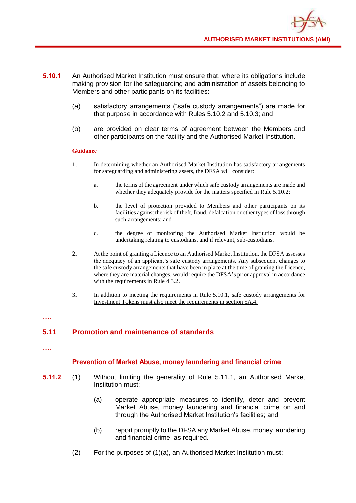- **5.10.1** An Authorised Market Institution must ensure that, where its obligations include making provision for the safeguarding and administration of assets belonging to Members and other participants on its facilities:
	- (a) satisfactory arrangements ("safe custody arrangements") are made for that purpose in accordance with Rules 5.10.2 and 5.10.3; and
	- (b) are provided on clear terms of agreement between the Members and other participants on the facility and the Authorised Market Institution.

- 1. In determining whether an Authorised Market Institution has satisfactory arrangements for safeguarding and administering assets, the DFSA will consider:
	- a. the terms of the agreement under which safe custody arrangements are made and whether they adequately provide for the matters specified in Rule 5.10.2;
	- b. the level of protection provided to Members and other participants on its facilities against the risk of theft, fraud, defalcation or other types of loss through such arrangements; and
	- c. the degree of monitoring the Authorised Market Institution would be undertaking relating to custodians, and if relevant, sub-custodians.
- 2. At the point of granting a Licence to an Authorised Market Institution, the DFSA assesses the adequacy of an applicant's safe custody arrangements. Any subsequent changes to the safe custody arrangements that have been in place at the time of granting the Licence, where they are material changes, would require the DFSA's prior approval in accordance with the requirements in Rule 4.3.2.
- 3. In addition to meeting the requirements in Rule 5.10.1, safe custody arrangements for Investment Tokens must also meet the requirements in section 5A.4.

#### **….**

# **5.11 Promotion and maintenance of standards**

**….**

#### **Prevention of Market Abuse, money laundering and financial crime**

- **5.11.2** (1) Without limiting the generality of Rule 5.11.1, an Authorised Market Institution must:
	- (a) operate appropriate measures to identify, deter and prevent Market Abuse, money laundering and financial crime on and through the Authorised Market Institution's facilities; and
	- (b) report promptly to the DFSA any Market Abuse, money laundering and financial crime, as required.
	- (2) For the purposes of (1)(a), an Authorised Market Institution must: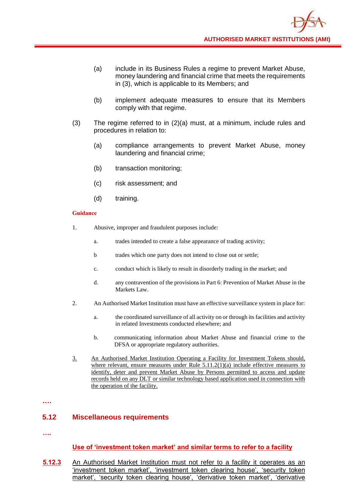- (a) include in its Business Rules a regime to prevent Market Abuse, money laundering and financial crime that meets the requirements in (3), which is applicable to its Members; and
- (b) implement adequate measures to ensure that its Members comply with that regime.
- (3) The regime referred to in (2)(a) must, at a minimum, include rules and procedures in relation to:
	- (a) compliance arrangements to prevent Market Abuse, money laundering and financial crime;
	- (b) transaction monitoring;
	- (c) risk assessment; and
	- (d) training.

- 1. Abusive, improper and fraudulent purposes include:
	- a. trades intended to create a false appearance of trading activity;
	- b trades which one party does not intend to close out or settle;
	- c. conduct which is likely to result in disorderly trading in the market; and
	- d. any contravention of the provisions in Part 6: Prevention of Market Abuse in the Markets Law.
- 2. An Authorised Market Institution must have an effective surveillance system in place for:
	- a. the coordinated surveillance of all activity on or through its facilities and activity in related Investments conducted elsewhere; and
	- b. communicating information about Market Abuse and financial crime to the DFSA or appropriate regulatory authorities.
- 3. An Authorised Market Institution Operating a Facility for Investment Tokens should, where relevant, ensure measures under Rule 5.11.2(1)(a) include effective measures to identify, deter and prevent Market Abuse by Persons permitted to access and update records held on any DLT or similar technology based application used in connection with the operation of the facility.

**….**

#### **5.12 Miscellaneous requirements**

**….**

#### **Use of 'investment token market' and similar terms to refer to a facility**

**5.12.3** An Authorised Market Institution must not refer to a facility it operates as an 'investment token market', 'investment token clearing house', 'security token market', 'security token clearing house', 'derivative token market', 'derivative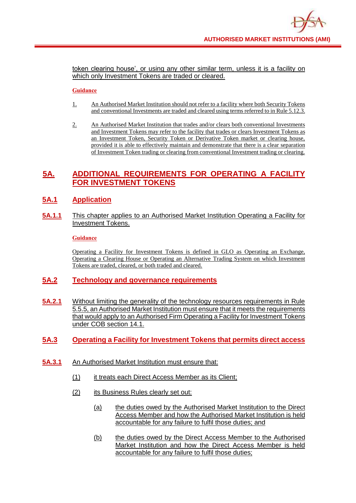token clearing house', or using any other similar term, unless it is a facility on which only Investment Tokens are traded or cleared.

#### **Guidance**

- 1. An Authorised Market Institution should not refer to a facility where both Security Tokens and conventional Investments are traded and cleared using terms referred to in Rule 5.12.3.
- 2. An Authorised Market Institution that trades and/or clears both conventional Investments and Investment Tokens may refer to the facility that trades or clears Investment Tokens as an Investment Token, Security Token or Derivative Token market or clearing house, provided it is able to effectively maintain and demonstrate that there is a clear separation of Investment Token trading or clearing from conventional Investment trading or clearing.

# **5A. ADDITIONAL REQUIREMENTS FOR OPERATING A FACILITY FOR INVESTMENT TOKENS**

# **5A.1 Application**

**5A.1.1** This chapter applies to an Authorised Market Institution Operating a Facility for Investment Tokens.

#### **Guidance**

Operating a Facility for Investment Tokens is defined in GLO as Operating an Exchange, Operating a Clearing House or Operating an Alternative Trading System on which Investment Tokens are traded, cleared, or both traded and cleared.

# **5A.2 Technology and governance requirements**

**5A.2.1** Without limiting the generality of the technology resources requirements in Rule 5.5.5, an Authorised Market Institution must ensure that it meets the requirements that would apply to an Authorised Firm Operating a Facility for Investment Tokens under COB section 14.1.

# **5A.3 Operating a Facility for Investment Tokens that permits direct access**

- **5A.3.1** An Authorised Market Institution must ensure that:
	- (1) it treats each Direct Access Member as its Client;
	- (2) its Business Rules clearly set out:
		- (a) the duties owed by the Authorised Market Institution to the Direct Access Member and how the Authorised Market Institution is held accountable for any failure to fulfil those duties; and
		- (b) the duties owed by the Direct Access Member to the Authorised Market Institution and how the Direct Access Member is held accountable for any failure to fulfil those duties;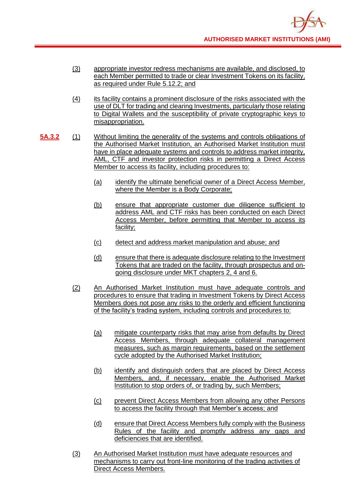- (3) appropriate investor redress mechanisms are available, and disclosed, to each Member permitted to trade or clear Investment Tokens on its facility, as required under Rule 5.12.2; and
- (4) its facility contains a prominent disclosure of the risks associated with the use of DLT for trading and clearing Investments, particularly those relating to Digital Wallets and the susceptibility of private cryptographic keys to misappropriation.
- **5A.3.2** (1) Without limiting the generality of the systems and controls obligations of the Authorised Market Institution, an Authorised Market Institution must have in place adequate systems and controls to address market integrity, AML, CTF and investor protection risks in permitting a Direct Access Member to access its facility, including procedures to:
	- (a) identify the ultimate beneficial owner of a Direct Access Member, where the Member is a Body Corporate;
	- (b) ensure that appropriate customer due diligence sufficient to address AML and CTF risks has been conducted on each Direct Access Member, before permitting that Member to access its facility;
	- (c) detect and address market manipulation and abuse; and
	- (d) ensure that there is adequate disclosure relating to the Investment Tokens that are traded on the facility, through prospectus and ongoing disclosure under MKT chapters 2, 4 and 6.
	- (2) An Authorised Market Institution must have adequate controls and procedures to ensure that trading in Investment Tokens by Direct Access Members does not pose any risks to the orderly and efficient functioning of the facility's trading system, including controls and procedures to:
		- (a) mitigate counterparty risks that may arise from defaults by Direct Access Members, through adequate collateral management measures, such as margin requirements, based on the settlement cycle adopted by the Authorised Market Institution;
		- (b) identify and distinguish orders that are placed by Direct Access Members, and, if necessary, enable the Authorised Market Institution to stop orders of, or trading by, such Members;
		- (c) prevent Direct Access Members from allowing any other Persons to access the facility through that Member's access; and
		- (d) ensure that Direct Access Members fully comply with the Business Rules of the facility and promptly address any gaps and deficiencies that are identified.
	- (3) An Authorised Market Institution must have adequate resources and mechanisms to carry out front-line monitoring of the trading activities of Direct Access Members.